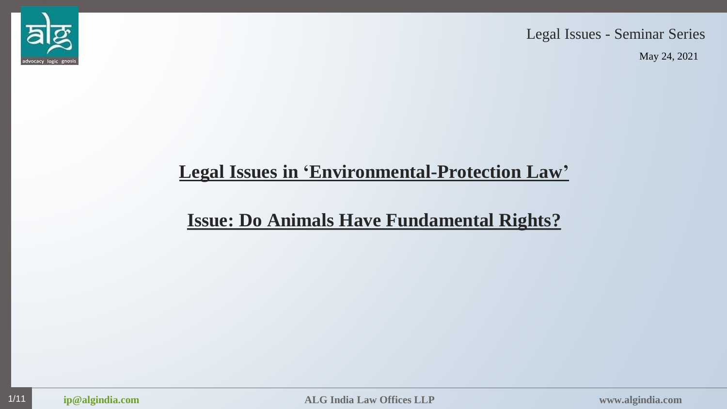

Legal Issues - Seminar Series

May 24, 2021

# **Legal Issues in 'Environmental-Protection Law'**

# **Issue: Do Animals Have Fundamental Rights?**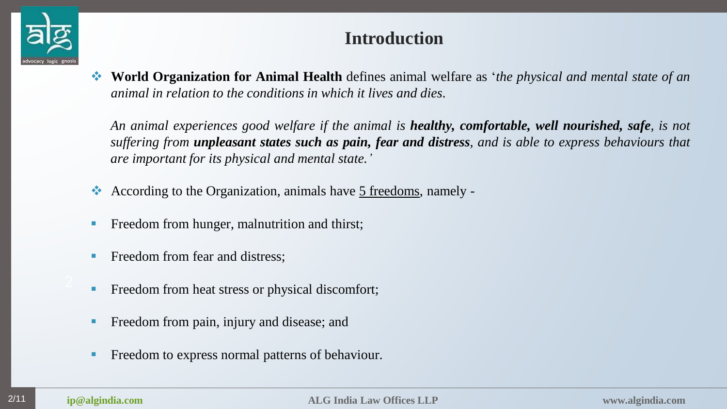

## **Introduction**

 **World Organization for Animal Health** defines animal welfare as '*the physical and mental state of an animal in relation to the conditions in which it lives and dies*.

*An animal experiences good welfare if the animal is healthy, comfortable, well nourished, safe, is not* suffering from **unpleasant states such as pain, fear and distress**, and is able to express behaviours that *are important for its physical and mental state.'*

- According to the Organization, animals have 5 freedoms, namely -
- **Freedom from hunger, malnutrition and thirst;**
- Freedom from fear and distress;
- Freedom from heat stress or physical discomfort;
- **Figure 1.5 Freedom from pain, injury and disease; and**
- Freedom to express normal patterns of behaviour.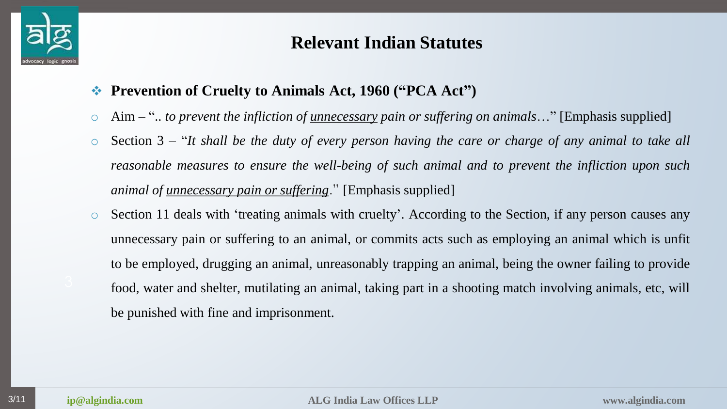

# **Relevant Indian Statutes**

- **Prevention of Cruelty to Animals Act, 1960 ("PCA Act")**
- o Aim ".. *to prevent the infliction of unnecessary pain or suffering on animals*…" [Emphasis supplied]
- $\circ$  Section 3 "It shall be the duty of every person having the care or charge of any animal to take all *reasonable measures to ensure the well-being of such animal and to prevent the infliction upon such animal of unnecessary pain or suffering*." [Emphasis supplied]
- o Section 11 deals with 'treating animals with cruelty'. According to the Section, if any person causes any unnecessary pain or suffering to an animal, or commits acts such as employing an animal which is unfit to be employed, drugging an animal, unreasonably trapping an animal, being the owner failing to provide food, water and shelter, mutilating an animal, taking part in a shooting match involving animals, etc, will be punished with fine and imprisonment.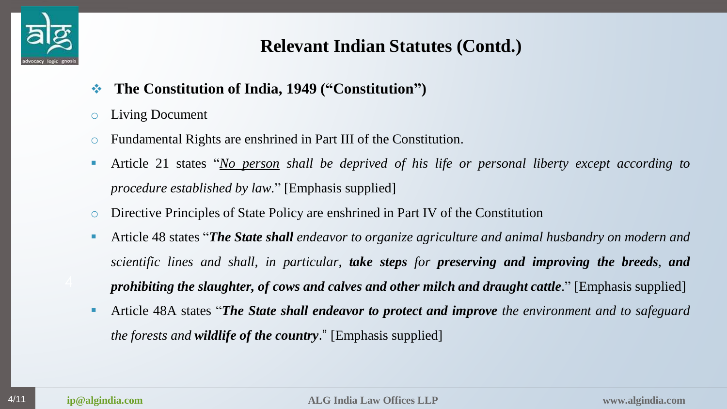

# **Relevant Indian Statutes (Contd.)**

- **The Constitution of India, 1949 ("Constitution")**
- o Living Document
- o Fundamental Rights are enshrined in Part III of the Constitution.
- Article 21 states "*No person shall be deprived of his life or personal liberty except according to procedure established by law.*" [Emphasis supplied]
- o Directive Principles of State Policy are enshrined in Part IV of the Constitution
- Article 48 states "*The State shall endeavor to organize agriculture and animal husbandry on modern and scientific lines and shall, in particular, take steps for preserving and improving the breeds, and prohibiting the slaughter, of cows and calves and other milch and draught cattle*." [Emphasis supplied]
- Article 48A states "*The State shall endeavor to protect and improve the environment and to safeguard the forests and wildlife of the country*." [Emphasis supplied]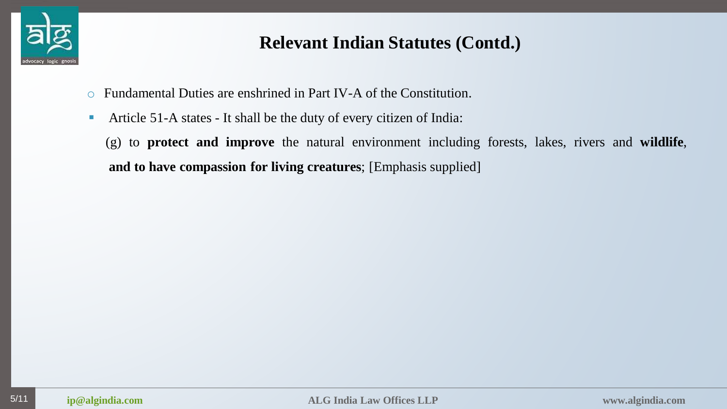

# **Relevant Indian Statutes (Contd.)**

- o Fundamental Duties are enshrined in Part IV-A of the Constitution.
- Article 51-A states It shall be the duty of every citizen of India:
	- (g) to **protect and improve** the natural environment including forests, lakes, rivers and **wildlife**, **and to have compassion for living creatures**; [Emphasis supplied]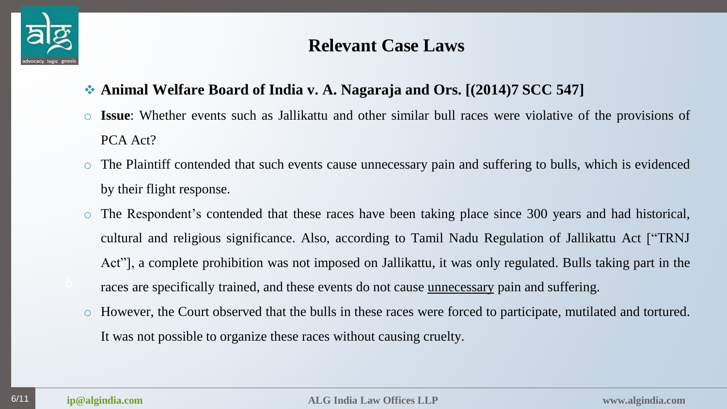

## **Relevant Case Laws**

- **Animal Welfare Board of India v. A. Nagaraja and Ors. [(2014)7 SCC 547]**
- o **Issue**: Whether events such as Jallikattu and other similar bull races were violative of the provisions of PCA Act?
- o The Plaintiff contended that such events cause unnecessary pain and suffering to bulls, which is evidenced by their flight response.
- o The Respondent's contended that these races have been taking place since 300 years and had historical, cultural and religious significance. Also, according to Tamil Nadu Regulation of Jallikattu Act ["TRNJ Act"], a complete prohibition was not imposed on Jallikattu, it was only regulated. Bulls taking part in the races are specifically trained, and these events do not cause unnecessary pain and suffering.
- o However, the Court observed that the bulls in these races were forced to participate, mutilated and tortured. It was not possible to organize these races without causing cruelty.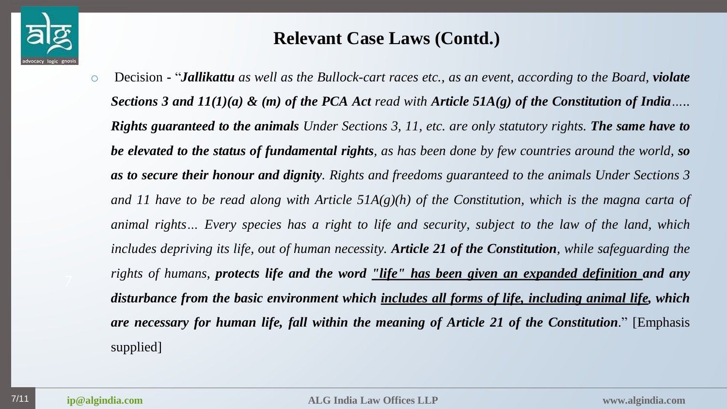

 $\circ$  Decision - "**Jallikattu** as well as the Bullock-cart races etc., as an event, according to the Board, **violate** Sections 3 and  $11(1)(a)$  & (m) of the PCA Act read with Article 51A(g) of the Constitution of India.... **Rights guaranteed to the animals** Under Sections 3, 11, etc. are only statutory rights. The same have to be elevated to the status of fundamental rights, as has been done by few countries around the world, so as to secure their honour and dignity. Rights and freedoms guaranteed to the animals Under Sections 3 and 11 have to be read along with Article  $51A(g)(h)$  of the Constitution, which is the magna carta of animal rights... Every species has a right to life and security, subject to the law of the land, which includes depriving its life, out of human necessity. Article 21 of the Constitution, while safeguarding the *rights of humans, protects life and the word "life" has been given an expanded definition and any disturbance from the basic environment which includes all forms of life, including animal life, which are necessary for human life, fall within the meaning of Article 21 of the Constitution*." [Emphasis supplied]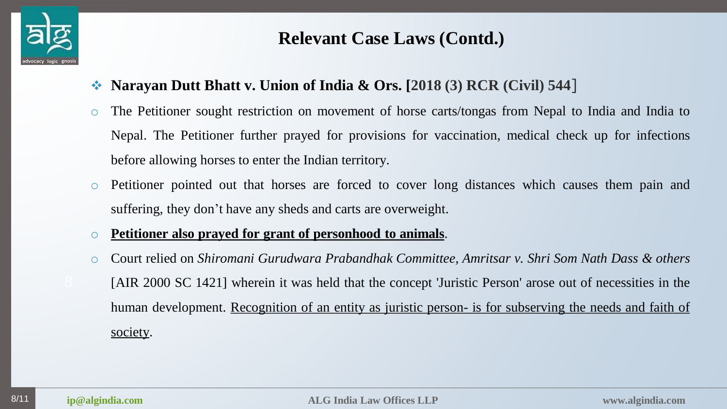

- **Narayan Dutt Bhatt v. Union of India & Ors. [2018 (3) RCR (Civil) 544**]
- o The Petitioner sought restriction on movement of horse carts/tongas from Nepal to India and India to Nepal. The Petitioner further prayed for provisions for vaccination, medical check up for infections before allowing horses to enter the Indian territory.
- o Petitioner pointed out that horses are forced to cover long distances which causes them pain and suffering, they don't have any sheds and carts are overweight.
- o **Petitioner also prayed for grant of personhood to animals**.
- o Court relied on *Shiromani Gurudwara Prabandhak Committee, Amritsar v. Shri Som Nath Dass & others* [AIR 2000 SC 1421] wherein it was held that the concept 'Juristic Person' arose out of necessities in the human development. Recognition of an entity as juristic person- is for subserving the needs and faith of society.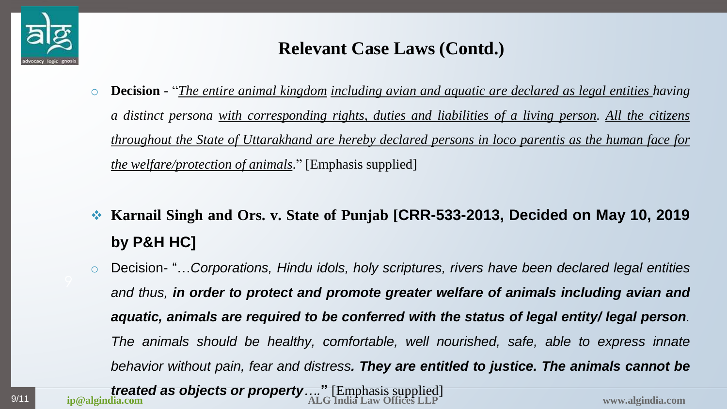

- o **Decision** "*The entire animal kingdom including avian and aquatic are declared as legal entities having a distinct persona with corresponding rights, duties and liabilities of a living person. All the citizens throughout the State of Uttarakhand are hereby declared persons in loco parentis as the human face for the welfare/protection of animals*." [Emphasis supplied]
- **Karnail Singh and Ors. v. State of Punjab [CRR-533-2013, Decided on May 10, 2019 by P&H HC]**
- o Decision- "…*Corporations, Hindu idols, holy scriptures, rivers have been declared legal entities and thus, in order to protect and promote greater welfare of animals including avian and aquatic, animals are required to be conferred with the status of legal entity/ legal person. The animals should be healthy, comfortable, well nourished, safe, able to express innate behavior without pain, fear and distress. They are entitled to justice. The animals cannot be*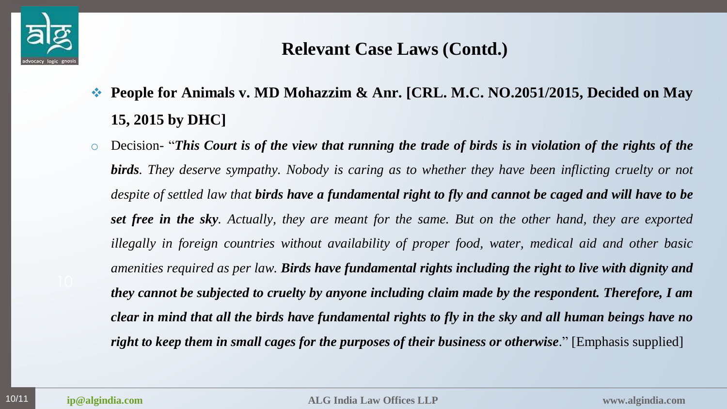

- **People for Animals v. MD Mohazzim & Anr. [CRL. M.C. NO.2051/2015, Decided on May 15, 2015 by DHC]**
- $\circ$  Decision- "This Court is of the view that running the trade of birds is in violation of the rights of the **birds**. They deserve sympathy. Nobody is caring as to whether they have been inflicting cruelty or not despite of settled law that **birds have a fundamental right to fly and cannot be caged and will have to be set free in the sky.** Actually, they are meant for the same. But on the other hand, they are exported *illegally in foreign countries without availability of proper food, water, medical aid and other basic amenities required as per law. Birds have fundamental rights including the right to live with dignity and they cannot be subjected to cruelty by anyone including claim made by the respondent. Therefore, I am* clear in mind that all the birds have fundamental rights to fly in the sky and all human beings have no *right to keep them in small cages for the purposes of their business or otherwise*." [Emphasis supplied]